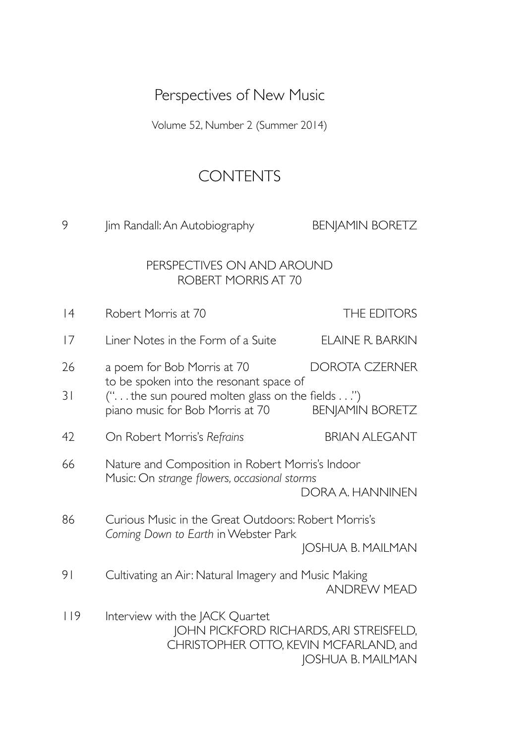# Perspectives of New Music

Volume 52, Number 2 (Summer 2014)

## **CONTENTS**

| 9   | Jim Randall: An Autobiography                                                                                                  | <b>BENJAMIN BORETZ</b>   |
|-----|--------------------------------------------------------------------------------------------------------------------------------|--------------------------|
|     | PERSPECTIVES ON AND AROUND<br><b>ROBERT MORRIS AT 70</b>                                                                       |                          |
| 4   | Robert Morris at 70                                                                                                            | THE EDITORS              |
| 17  | Liner Notes in the Form of a Suite                                                                                             | ELAINE R. BARKIN         |
| 26  | a poem for Bob Morris at 70                                                                                                    | <b>DOROTA CZERNER</b>    |
| 31  | to be spoken into the resonant space of<br>(" the sun poured molten glass on the fields ")<br>piano music for Bob Morris at 70 | <b>BENJAMIN BORETZ</b>   |
| 42  | On Robert Morris's Refrains                                                                                                    | <b>BRIAN ALEGANT</b>     |
| 66  | Nature and Composition in Robert Morris's Indoor<br>Music: On strange flowers, occasional storms                               | DORA A. HANNINEN         |
| 86  | Curious Music in the Great Outdoors: Robert Morris's                                                                           |                          |
|     | Coming Down to Earth in Webster Park                                                                                           | <b>JOSHUA B. MAILMAN</b> |
| 91  | Cultivating an Air: Natural Imagery and Music Making                                                                           | <b>ANDREW MEAD</b>       |
| 119 | Interview with the JACK Quartet<br>JOHN PICKFORD RICHARDS, ARI STREISFELD,<br>CHRISTOPHER OTTO, KEVIN MCFARLAND, and           | JOSHUA B. MAILMAN        |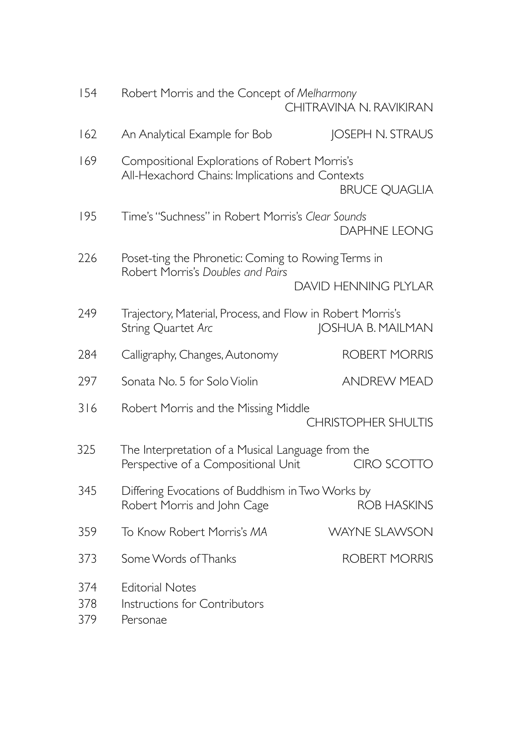| 154               | Robert Morris and the Concept of Melharmony<br>CHITRAVINA N. RAVIKIRAN                           |                             |
|-------------------|--------------------------------------------------------------------------------------------------|-----------------------------|
| 162               | An Analytical Example for Bob                                                                    | JOSEPH N. STRAUS            |
| 169               | Compositional Explorations of Robert Morris's<br>All-Hexachord Chains: Implications and Contexts | <b>BRUCE QUAGLIA</b>        |
| 195               | Time's "Suchness" in Robert Morris's Clear Sounds                                                | <b>DAPHNE LEONG</b>         |
| 226               | Poset-ting the Phronetic: Coming to Rowing Terms in                                              |                             |
|                   | Robert Morris's Doubles and Pairs                                                                | <b>DAVID HENNING PLYLAR</b> |
| 249               | Trajectory, Material, Process, and Flow in Robert Morris's<br>String Quartet Arc                 | JOSHUA B. MAILMAN           |
| 284               | Calligraphy, Changes, Autonomy                                                                   | <b>ROBERT MORRIS</b>        |
| 297               | Sonata No. 5 for Solo Violin                                                                     | <b>ANDREW MEAD</b>          |
| 316               | Robert Morris and the Missing Middle                                                             | <b>CHRISTOPHER SHULTIS</b>  |
| 325               | The Interpretation of a Musical Language from the<br>Perspective of a Compositional Unit         | CIRO SCOTTO                 |
| 345               | Differing Evocations of Buddhism in Two Works by<br>Robert Morris and John Cage                  | <b>ROB HASKINS</b>          |
| 359               | To Know Robert Morris's MA                                                                       | <b>WAYNE SLAWSON</b>        |
| 373               | Some Words of Thanks                                                                             | <b>ROBERT MORRIS</b>        |
| 374<br>378<br>379 | <b>Editorial Notes</b><br>Instructions for Contributors<br>Personae                              |                             |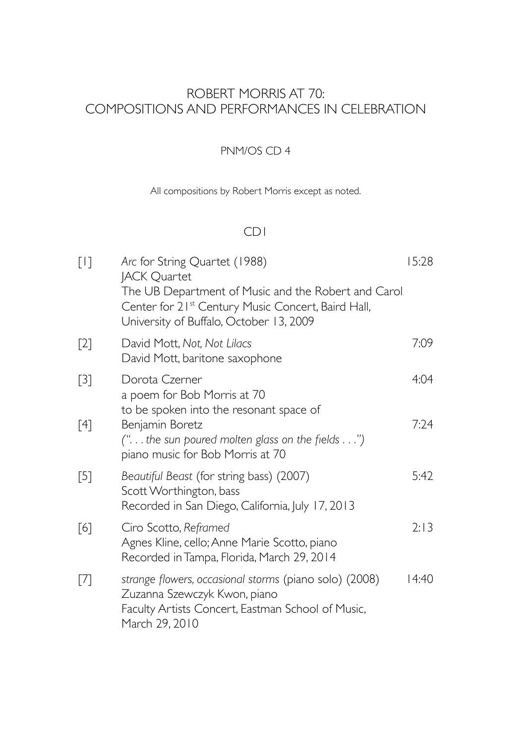### ROBERT MORRIS AT 70: COMPOSITIONS AND PERFORMANCES IN CELEBRATION

#### PNM/OS CD 4

All compositions by Robert Morris except as noted.

#### CD1

| $[1]$             | Arc for String Quartet (1988)<br><b>JACK Quartet</b><br>The UB Department of Music and the Robert and Carol<br>Center for 21 <sup>st</sup> Century Music Concert, Baird Hall,<br>University of Buffalo, October 13, 2009 | 15:28 |
|-------------------|--------------------------------------------------------------------------------------------------------------------------------------------------------------------------------------------------------------------------|-------|
| $[2]$             | David Mott, Not, Not Lilacs<br>David Mott, baritone saxophone                                                                                                                                                            | 7:09  |
| $[3]$             | Dorota Czerner<br>a poem for Bob Morris at 70                                                                                                                                                                            | 4:04  |
| [4]               | to be spoken into the resonant space of<br>Benjamin Boretz<br>(" the sun poured molten glass on the fields ")<br>piano music for Bob Morris at 70                                                                        | 7:24  |
| $\lceil 5 \rceil$ | Beautiful Beast (for string bass) (2007)<br>Scott Worthington, bass<br>Recorded in San Diego, California, July 17, 2013                                                                                                  | 5:42  |
| $\lceil 6 \rceil$ | Ciro Scotto, Reframed<br>Agnes Kline, cello; Anne Marie Scotto, piano<br>Recorded in Tampa, Florida, March 29, 2014                                                                                                      | 2:13  |
| $[7]$             | strange flowers, occasional storms (piano solo) (2008)<br>Zuzanna Szewczyk Kwon, piano<br>Faculty Artists Concert, Eastman School of Music,<br>March 29, 2010                                                            | 14:40 |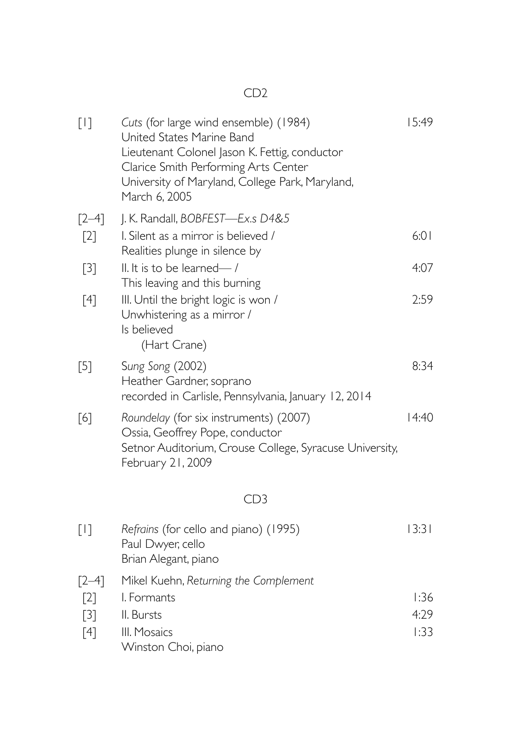#### CD2

| $[1]$                                          | Cuts (for large wind ensemble) (1984)<br>United States Marine Band<br>Lieutenant Colonel Jason K. Fettig, conductor<br>Clarice Smith Performing Arts Center<br>University of Maryland, College Park, Maryland,<br>March 6, 2005 | 15:49                |
|------------------------------------------------|---------------------------------------------------------------------------------------------------------------------------------------------------------------------------------------------------------------------------------|----------------------|
| $[2-4]$<br>$\lceil 2 \rceil$                   | J. K. Randall, BOBFEST-Ex.s D4&5<br>I. Silent as a mirror is believed /                                                                                                                                                         | 6:01                 |
| $[3]$                                          | Realities plunge in silence by<br>II. It is to be learned-/<br>This leaving and this burning                                                                                                                                    | 4:07                 |
| [4]                                            | III. Until the bright logic is won /<br>Unwhistering as a mirror /<br>Is believed<br>(Hart Crane)                                                                                                                               | 2:59                 |
| $[5]$                                          | Sung Song (2002)<br>Heather Gardner, soprano<br>recorded in Carlisle, Pennsylvania, January 12, 2014                                                                                                                            | 8:34                 |
| [6]                                            | Roundelay (for six instruments) (2007)<br>Ossia, Geoffrey Pope, conductor<br>Setnor Auditorium, Crouse College, Syracuse University,<br>February 21, 2009                                                                       | 14:40                |
|                                                | CD <sub>3</sub>                                                                                                                                                                                                                 |                      |
| $[1]$                                          | Refrains (for cello and piano) (1995)<br>Paul Dwyer, cello<br>Brian Alegant, piano                                                                                                                                              | 13:31                |
| $[2-4]$<br>$[2]$<br>$[3]$<br>$\lceil 4 \rceil$ | Mikel Kuehn, Returning the Complement<br>I. Formants<br>II. Bursts<br>III. Mosaics<br>Winston Choi, piano                                                                                                                       | 1:36<br>4:29<br>1:33 |